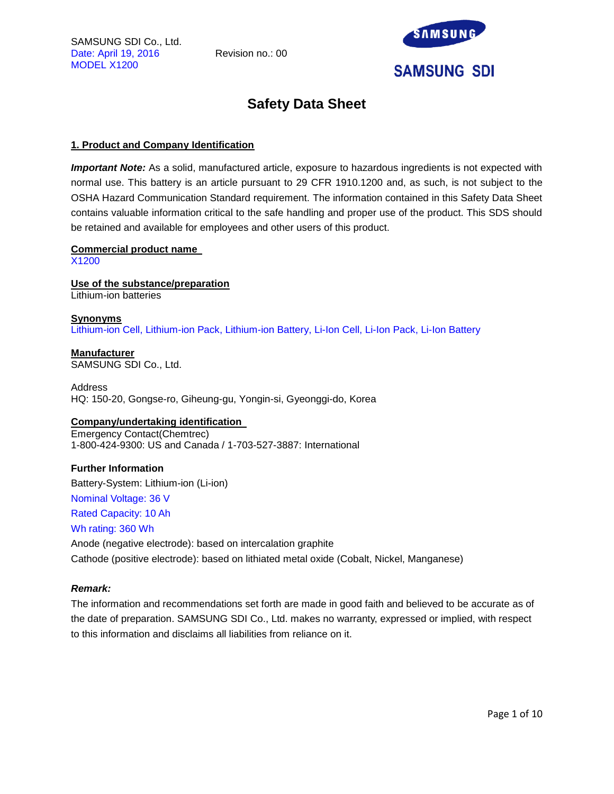SAMSUNG SDI Co., Ltd. Date: April 19, 2016 Revision no.: 00 MODEL X1200



## **Safety Data Sheet**

## **1. Product and Company Identification**

*Important Note:* As a solid, manufactured article, exposure to hazardous ingredients is not expected with normal use. This battery is an article pursuant to 29 CFR 1910.1200 and, as such, is not subject to the OSHA Hazard Communication Standard requirement. The information contained in this Safety Data Sheet contains valuable information critical to the safe handling and proper use of the product. This SDS should be retained and available for employees and other users of this product.

## **Commercial product name**

X1200

**Use of the substance/preparation** Lithium-ion batteries

**Synonyms** Lithium-ion Cell, Lithium-ion Pack, Lithium-ion Battery, Li-Ion Cell, Li-Ion Pack, Li-Ion Battery

**Manufacturer** SAMSUNG SDI Co., Ltd.

Address HQ: 150-20, Gongse-ro, Giheung-gu, Yongin-si, Gyeonggi-do, Korea

## **Company/undertaking identification**

Emergency Contact(Chemtrec) 1-800-424-9300: US and Canada / 1-703-527-3887: International

## **Further Information**

Battery-System: Lithium-ion (Li-ion)

Nominal Voltage: 36 V

## Rated Capacity: 10 Ah

## Wh rating: 360 Wh

Anode (negative electrode): based on intercalation graphite Cathode (positive electrode): based on lithiated metal oxide (Cobalt, Nickel, Manganese)

## *Remark:*

The information and recommendations set forth are made in good faith and believed to be accurate as of the date of preparation. SAMSUNG SDI Co., Ltd. makes no warranty, expressed or implied, with respect to this information and disclaims all liabilities from reliance on it.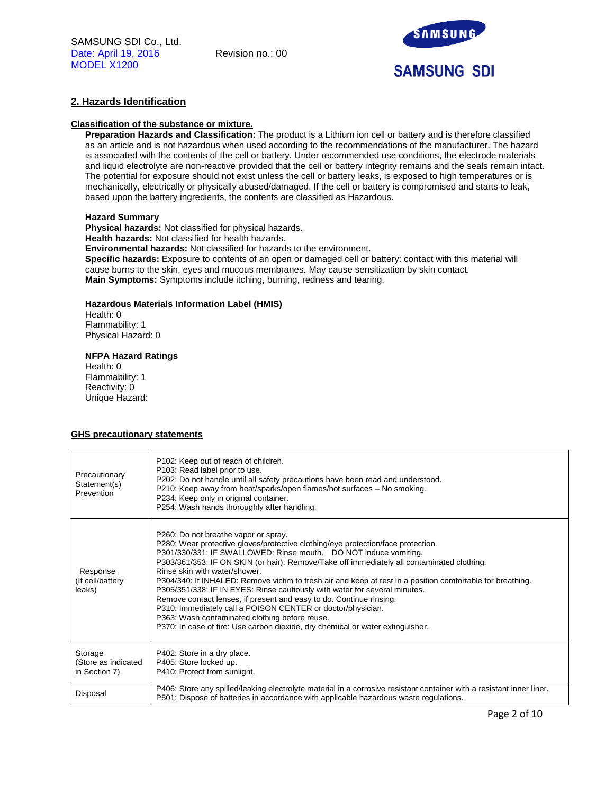

## **2. Hazards Identification**

#### **Classification of the substance or mixture.**

**Preparation Hazards and Classification:** The product is a Lithium ion cell or battery and is therefore classified as an article and is not hazardous when used according to the recommendations of the manufacturer. The hazard is associated with the contents of the cell or battery. Under recommended use conditions, the electrode materials and liquid electrolyte are non-reactive provided that the cell or battery integrity remains and the seals remain intact. The potential for exposure should not exist unless the cell or battery leaks, is exposed to high temperatures or is mechanically, electrically or physically abused/damaged. If the cell or battery is compromised and starts to leak, based upon the battery ingredients, the contents are classified as Hazardous.

#### **Hazard Summary**

**Physical hazards:** Not classified for physical hazards. **Health hazards:** Not classified for health hazards. **Environmental hazards:** Not classified for hazards to the environment. **Specific hazards:** Exposure to contents of an open or damaged cell or battery: contact with this material will cause burns to the skin, eyes and mucous membranes. May cause sensitization by skin contact. **Main Symptoms:** Symptoms include itching, burning, redness and tearing.

#### **Hazardous Materials Information Label (HMIS)**

Health: 0 Flammability: 1 Physical Hazard: 0

## **NFPA Hazard Ratings**

Health: 0 Flammability: 1 Reactivity: 0 Unique Hazard:

## **GHS precautionary statements**

| Precautionary<br>Statement(s)<br>Prevention     | P102: Keep out of reach of children.<br>P103: Read label prior to use.<br>P202: Do not handle until all safety precautions have been read and understood.<br>P210: Keep away from heat/sparks/open flames/hot surfaces - No smoking.<br>P234: Keep only in original container.<br>P254: Wash hands thoroughly after handling.                                                                                                                                                                                                                                                                                                                                                                                                                                                                     |
|-------------------------------------------------|---------------------------------------------------------------------------------------------------------------------------------------------------------------------------------------------------------------------------------------------------------------------------------------------------------------------------------------------------------------------------------------------------------------------------------------------------------------------------------------------------------------------------------------------------------------------------------------------------------------------------------------------------------------------------------------------------------------------------------------------------------------------------------------------------|
| Response<br>(If cell/battery<br>leaks)          | P260: Do not breathe vapor or spray.<br>P280: Wear protective gloves/protective clothing/eye protection/face protection.<br>P301/330/331: IF SWALLOWED: Rinse mouth. DO NOT induce vomiting.<br>P303/361/353: IF ON SKIN (or hair): Remove/Take off immediately all contaminated clothing.<br>Rinse skin with water/shower.<br>P304/340: If INHALED: Remove victim to fresh air and keep at rest in a position comfortable for breathing.<br>P305/351/338: IF IN EYES: Rinse cautiously with water for several minutes.<br>Remove contact lenses, if present and easy to do. Continue rinsing.<br>P310: Immediately call a POISON CENTER or doctor/physician.<br>P363: Wash contaminated clothing before reuse.<br>P370: In case of fire: Use carbon dioxide, dry chemical or water extinguisher. |
| Storage<br>(Store as indicated<br>in Section 7) | P402: Store in a dry place.<br>P405: Store locked up.<br>P410: Protect from sunlight.                                                                                                                                                                                                                                                                                                                                                                                                                                                                                                                                                                                                                                                                                                             |
| Disposal                                        | P406: Store any spilled/leaking electrolyte material in a corrosive resistant container with a resistant inner liner.<br>P501: Dispose of batteries in accordance with applicable hazardous waste regulations.                                                                                                                                                                                                                                                                                                                                                                                                                                                                                                                                                                                    |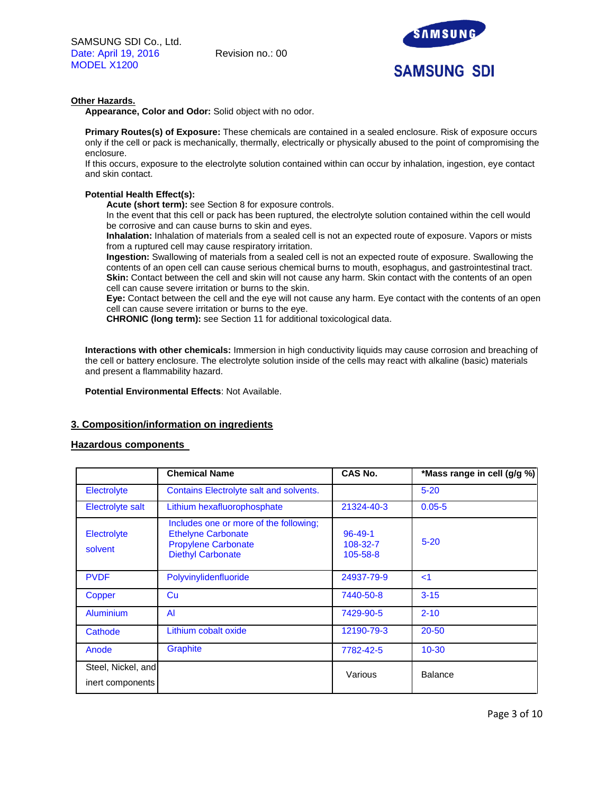

## **Other Hazards.**

**Appearance, Color and Odor:** Solid object with no odor.

**Primary Routes(s) of Exposure:** These chemicals are contained in a sealed enclosure. Risk of exposure occurs only if the cell or pack is mechanically, thermally, electrically or physically abused to the point of compromising the enclosure.

If this occurs, exposure to the electrolyte solution contained within can occur by inhalation, ingestion, eye contact and skin contact.

## **Potential Health Effect(s):**

**Acute (short term):** see Section 8 for exposure controls.

In the event that this cell or pack has been ruptured, the electrolyte solution contained within the cell would be corrosive and can cause burns to skin and eyes.

**Inhalation:** Inhalation of materials from a sealed cell is not an expected route of exposure. Vapors or mists from a ruptured cell may cause respiratory irritation.

**Ingestion:** Swallowing of materials from a sealed cell is not an expected route of exposure. Swallowing the contents of an open cell can cause serious chemical burns to mouth, esophagus, and gastrointestinal tract. **Skin:** Contact between the cell and skin will not cause any harm. Skin contact with the contents of an open cell can cause severe irritation or burns to the skin.

**Eye:** Contact between the cell and the eye will not cause any harm. Eye contact with the contents of an open cell can cause severe irritation or burns to the eye.

**CHRONIC (long term):** see Section 11 for additional toxicological data.

**Interactions with other chemicals:** Immersion in high conductivity liquids may cause corrosion and breaching of the cell or battery enclosure. The electrolyte solution inside of the cells may react with alkaline (basic) materials and present a flammability hazard.

**Potential Environmental Effects**: Not Available.

## **3. Composition/information on ingredients**

## **Hazardous components**

|                                        | <b>Chemical Name</b>                                                                                                          | CAS No.                               | *Mass range in cell (g/g %) |
|----------------------------------------|-------------------------------------------------------------------------------------------------------------------------------|---------------------------------------|-----------------------------|
| Electrolyte                            | Contains Electrolyte salt and solvents.                                                                                       |                                       | $5 - 20$                    |
| Electrolyte salt                       | Lithium hexafluorophosphate                                                                                                   | 21324-40-3                            | $0.05 - 5$                  |
| Electrolyte<br>solvent                 | Includes one or more of the following;<br><b>Ethelyne Carbonate</b><br><b>Propylene Carbonate</b><br><b>Diethyl Carbonate</b> | $96 - 49 - 1$<br>108-32-7<br>105-58-8 | $5 - 20$                    |
| <b>PVDF</b>                            | Polyvinylidenfluoride                                                                                                         | 24937-79-9                            | $\leq$ 1                    |
| Copper                                 | Cu                                                                                                                            | 7440-50-8                             | $3 - 15$                    |
| <b>Aluminium</b>                       | AI                                                                                                                            | 7429-90-5                             | $2 - 10$                    |
| Cathode                                | Lithium cobalt oxide                                                                                                          | 12190-79-3                            | $20 - 50$                   |
| Anode                                  | <b>Graphite</b>                                                                                                               | 7782-42-5                             | $10 - 30$                   |
| Steel, Nickel, and<br>inert components |                                                                                                                               | Various                               | <b>Balance</b>              |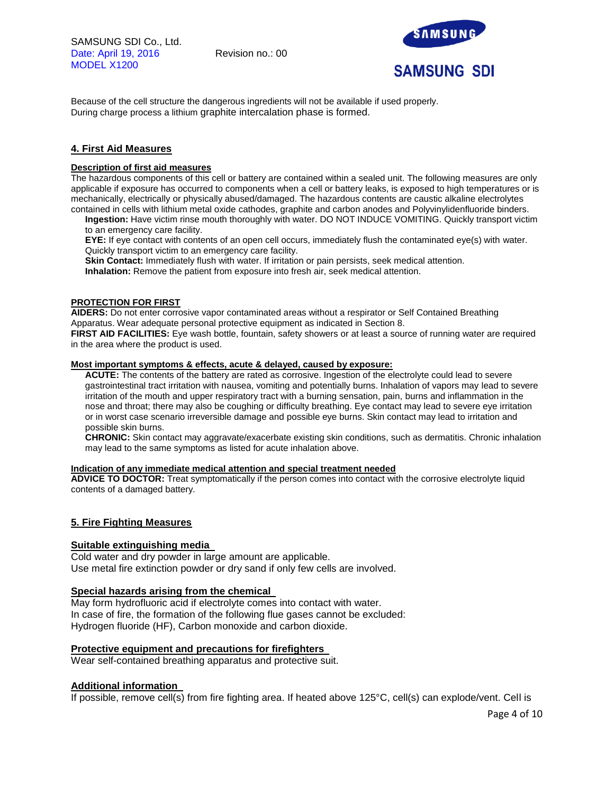SAMSUNG SDI Co., Ltd. Date: April 19, 2016 Revision no.: 00 MODEL X1200



Because of the cell structure the dangerous ingredients will not be available if used properly. During charge process a lithium graphite intercalation phase is formed.

## **4. First Aid Measures**

## **Description of first aid measures**

The hazardous components of this cell or battery are contained within a sealed unit. The following measures are only applicable if exposure has occurred to components when a cell or battery leaks, is exposed to high temperatures or is mechanically, electrically or physically abused/damaged. The hazardous contents are caustic alkaline electrolytes contained in cells with lithium metal oxide cathodes, graphite and carbon anodes and Polyvinylidenfluoride binders.

**Ingestion:** Have victim rinse mouth thoroughly with water. DO NOT INDUCE VOMITING. Quickly transport victim to an emergency care facility.

**EYE:** If eye contact with contents of an open cell occurs, immediately flush the contaminated eye(s) with water. Quickly transport victim to an emergency care facility.

**Skin Contact:** Immediately flush with water. If irritation or pain persists, seek medical attention.

**Inhalation:** Remove the patient from exposure into fresh air, seek medical attention.

## **PROTECTION FOR FIRST**

**AIDERS:** Do not enter corrosive vapor contaminated areas without a respirator or Self Contained Breathing Apparatus. Wear adequate personal protective equipment as indicated in Section 8.

**FIRST AID FACILITIES:** Eye wash bottle, fountain, safety showers or at least a source of running water are required in the area where the product is used.

## **Most important symptoms & effects, acute & delayed, caused by exposure:**

**ACUTE:** The contents of the battery are rated as corrosive. Ingestion of the electrolyte could lead to severe gastrointestinal tract irritation with nausea, vomiting and potentially burns. Inhalation of vapors may lead to severe irritation of the mouth and upper respiratory tract with a burning sensation, pain, burns and inflammation in the nose and throat; there may also be coughing or difficulty breathing. Eye contact may lead to severe eye irritation or in worst case scenario irreversible damage and possible eye burns. Skin contact may lead to irritation and possible skin burns.

**CHRONIC:** Skin contact may aggravate/exacerbate existing skin conditions, such as dermatitis. Chronic inhalation may lead to the same symptoms as listed for acute inhalation above.

## **Indication of any immediate medical attention and special treatment needed**

**ADVICE TO DOCTOR:** Treat symptomatically if the person comes into contact with the corrosive electrolyte liquid contents of a damaged battery.

## **5. Fire Fighting Measures**

## **Suitable extinguishing media**

Cold water and dry powder in large amount are applicable. Use metal fire extinction powder or dry sand if only few cells are involved.

## **Special hazards arising from the chemical**

May form hydrofluoric acid if electrolyte comes into contact with water. In case of fire, the formation of the following flue gases cannot be excluded: Hydrogen fluoride (HF), Carbon monoxide and carbon dioxide.

## **Protective equipment and precautions for firefighters**

Wear self-contained breathing apparatus and protective suit.

## **Additional information**

If possible, remove cell(s) from fire fighting area. If heated above 125°C, cell(s) can explode/vent. Cell is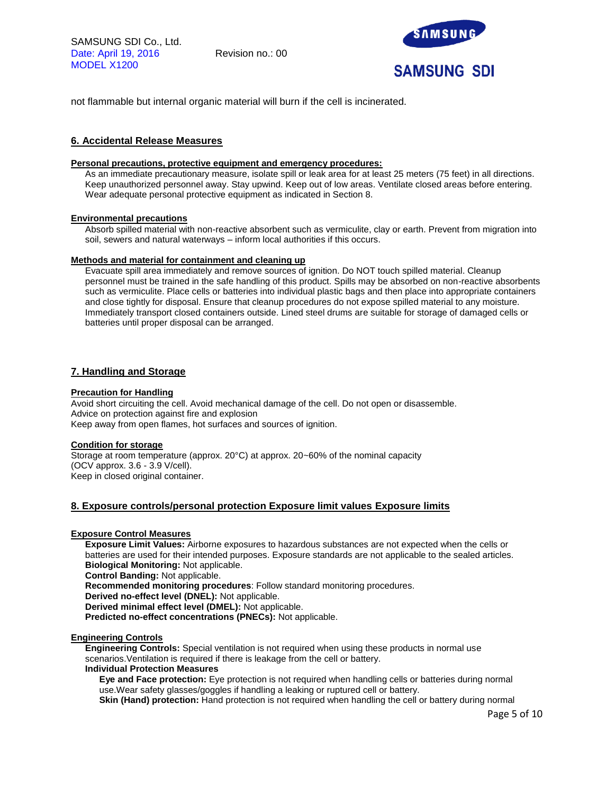

not flammable but internal organic material will burn if the cell is incinerated.

## **6. Accidental Release Measures**

## **Personal precautions, protective equipment and emergency procedures:**

As an immediate precautionary measure, isolate spill or leak area for at least 25 meters (75 feet) in all directions. Keep unauthorized personnel away. Stay upwind. Keep out of low areas. Ventilate closed areas before entering. Wear adequate personal protective equipment as indicated in Section 8.

#### **Environmental precautions**

Absorb spilled material with non-reactive absorbent such as vermiculite, clay or earth. Prevent from migration into soil, sewers and natural waterways – inform local authorities if this occurs.

#### **Methods and material for containment and cleaning up**

Evacuate spill area immediately and remove sources of ignition. Do NOT touch spilled material. Cleanup personnel must be trained in the safe handling of this product. Spills may be absorbed on non-reactive absorbents such as vermiculite. Place cells or batteries into individual plastic bags and then place into appropriate containers and close tightly for disposal. Ensure that cleanup procedures do not expose spilled material to any moisture. Immediately transport closed containers outside. Lined steel drums are suitable for storage of damaged cells or batteries until proper disposal can be arranged.

## **7. Handling and Storage**

#### **Precaution for Handling**

Avoid short circuiting the cell. Avoid mechanical damage of the cell. Do not open or disassemble. Advice on protection against fire and explosion Keep away from open flames, hot surfaces and sources of ignition.

## **Condition for storage**

Storage at room temperature (approx. 20°C) at approx. 20~60% of the nominal capacity (OCV approx. 3.6 - 3.9 V/cell). Keep in closed original container.

## **8. Exposure controls/personal protection Exposure limit values Exposure limits**

## **Exposure Control Measures**

**Exposure Limit Values:** Airborne exposures to hazardous substances are not expected when the cells or batteries are used for their intended purposes. Exposure standards are not applicable to the sealed articles. **Biological Monitoring:** Not applicable.

**Control Banding:** Not applicable.

**Recommended monitoring procedures**: Follow standard monitoring procedures.

**Derived no-effect level (DNEL):** Not applicable.

**Derived minimal effect level (DMEL):** Not applicable.

**Predicted no-effect concentrations (PNECs):** Not applicable.

#### **Engineering Controls**

**Engineering Controls:** Special ventilation is not required when using these products in normal use scenarios.Ventilation is required if there is leakage from the cell or battery.

#### **Individual Protection Measures**

**Eye and Face protection:** Eye protection is not required when handling cells or batteries during normal use.Wear safety glasses/goggles if handling a leaking or ruptured cell or battery.

**Skin (Hand) protection:** Hand protection is not required when handling the cell or battery during normal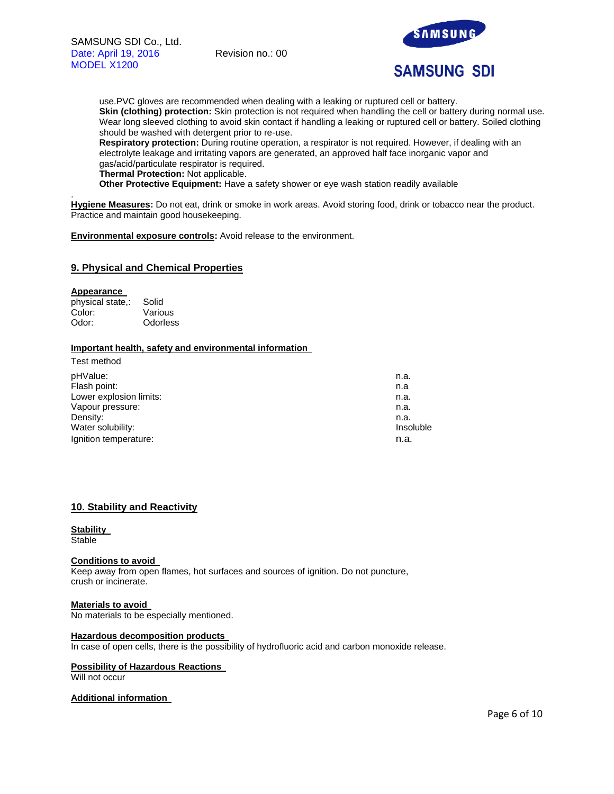

use.PVC gloves are recommended when dealing with a leaking or ruptured cell or battery. **Skin (clothing) protection:** Skin protection is not required when handling the cell or battery during normal use. Wear long sleeved clothing to avoid skin contact if handling a leaking or ruptured cell or battery. Soiled clothing should be washed with detergent prior to re-use.

**Respiratory protection:** During routine operation, a respirator is not required. However, if dealing with an electrolyte leakage and irritating vapors are generated, an approved half face inorganic vapor and gas/acid/particulate respirator is required.

**Thermal Protection:** Not applicable.

**Other Protective Equipment:** Have a safety shower or eye wash station readily available

**Hygiene Measures:** Do not eat, drink or smoke in work areas. Avoid storing food, drink or tobacco near the product. Practice and maintain good housekeeping.

**Environmental exposure controls:** Avoid release to the environment.

## **9. Physical and Chemical Properties**

#### **Appearance**

.

physical state,: Solid Color: Various Odor: Odorless

## **Important health, safety and environmental information**

| n.a.      |
|-----------|
| n.a       |
| n.a.      |
| n.a.      |
| n.a.      |
| Insoluble |
| n.a.      |
|           |

## **10. Stability and Reactivity**

#### **Stability Stable**

#### **Conditions to avoid**

Keep away from open flames, hot surfaces and sources of ignition. Do not puncture, crush or incinerate.

**Materials to avoid**  No materials to be especially mentioned.

#### **Hazardous decomposition products**

In case of open cells, there is the possibility of hydrofluoric acid and carbon monoxide release.

#### **Possibility of Hazardous Reactions**

Will not occur

## **Additional information**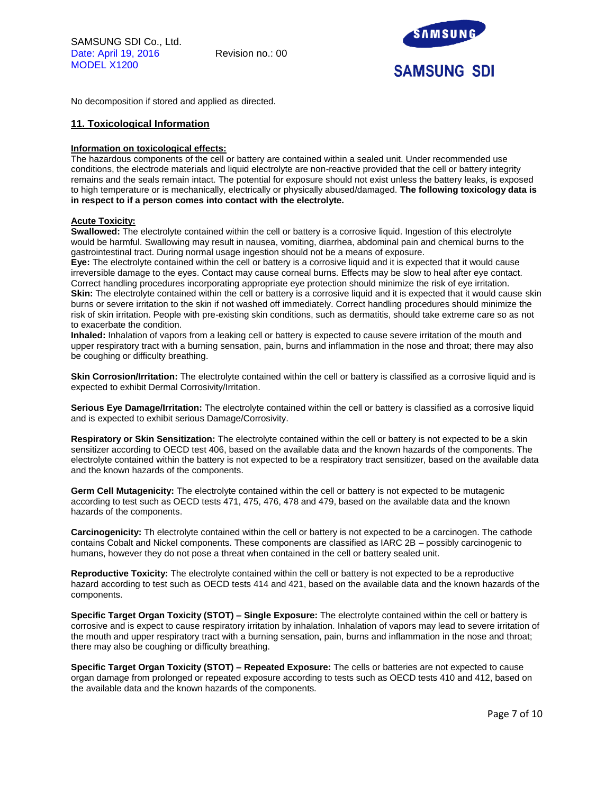

No decomposition if stored and applied as directed.

## **11. Toxicological Information**

#### **Information on toxicological effects:**

The hazardous components of the cell or battery are contained within a sealed unit. Under recommended use conditions, the electrode materials and liquid electrolyte are non-reactive provided that the cell or battery integrity remains and the seals remain intact. The potential for exposure should not exist unless the battery leaks, is exposed to high temperature or is mechanically, electrically or physically abused/damaged. **The following toxicology data is in respect to if a person comes into contact with the electrolyte.**

## **Acute Toxicity:**

**Swallowed:** The electrolyte contained within the cell or battery is a corrosive liquid. Ingestion of this electrolyte would be harmful. Swallowing may result in nausea, vomiting, diarrhea, abdominal pain and chemical burns to the gastrointestinal tract. During normal usage ingestion should not be a means of exposure.

**Eye:** The electrolyte contained within the cell or battery is a corrosive liquid and it is expected that it would cause irreversible damage to the eyes. Contact may cause corneal burns. Effects may be slow to heal after eye contact. Correct handling procedures incorporating appropriate eye protection should minimize the risk of eye irritation. **Skin:** The electrolyte contained within the cell or battery is a corrosive liquid and it is expected that it would cause skin burns or severe irritation to the skin if not washed off immediately. Correct handling procedures should minimize the risk of skin irritation. People with pre-existing skin conditions, such as dermatitis, should take extreme care so as not to exacerbate the condition.

**Inhaled:** Inhalation of vapors from a leaking cell or battery is expected to cause severe irritation of the mouth and upper respiratory tract with a burning sensation, pain, burns and inflammation in the nose and throat; there may also be coughing or difficulty breathing.

**Skin Corrosion/Irritation:** The electrolyte contained within the cell or battery is classified as a corrosive liquid and is expected to exhibit Dermal Corrosivity/Irritation.

**Serious Eye Damage/Irritation:** The electrolyte contained within the cell or battery is classified as a corrosive liquid and is expected to exhibit serious Damage/Corrosivity.

**Respiratory or Skin Sensitization:** The electrolyte contained within the cell or battery is not expected to be a skin sensitizer according to OECD test 406, based on the available data and the known hazards of the components. The electrolyte contained within the battery is not expected to be a respiratory tract sensitizer, based on the available data and the known hazards of the components.

**Germ Cell Mutagenicity:** The electrolyte contained within the cell or battery is not expected to be mutagenic according to test such as OECD tests 471, 475, 476, 478 and 479, based on the available data and the known hazards of the components.

**Carcinogenicity:** Th electrolyte contained within the cell or battery is not expected to be a carcinogen. The cathode contains Cobalt and Nickel components. These components are classified as IARC 2B – possibly carcinogenic to humans, however they do not pose a threat when contained in the cell or battery sealed unit.

**Reproductive Toxicity:** The electrolyte contained within the cell or battery is not expected to be a reproductive hazard according to test such as OECD tests 414 and 421, based on the available data and the known hazards of the components.

**Specific Target Organ Toxicity (STOT) – Single Exposure:** The electrolyte contained within the cell or battery is corrosive and is expect to cause respiratory irritation by inhalation. Inhalation of vapors may lead to severe irritation of the mouth and upper respiratory tract with a burning sensation, pain, burns and inflammation in the nose and throat; there may also be coughing or difficulty breathing.

**Specific Target Organ Toxicity (STOT) – Repeated Exposure:** The cells or batteries are not expected to cause organ damage from prolonged or repeated exposure according to tests such as OECD tests 410 and 412, based on the available data and the known hazards of the components.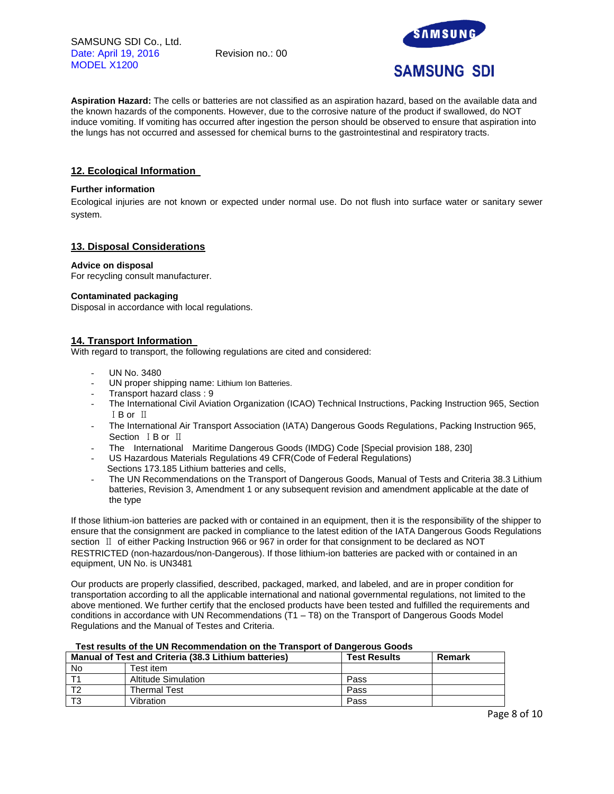SAMSUNG SDI Co., Ltd. Date: April 19, 2016 Revision no.: 00 MODEL X1200



**Aspiration Hazard:** The cells or batteries are not classified as an aspiration hazard, based on the available data and the known hazards of the components. However, due to the corrosive nature of the product if swallowed, do NOT induce vomiting. If vomiting has occurred after ingestion the person should be observed to ensure that aspiration into the lungs has not occurred and assessed for chemical burns to the gastrointestinal and respiratory tracts.

## **12. Ecological Information**

## **Further information**

Ecological injuries are not known or expected under normal use. Do not flush into surface water or sanitary sewer system.

## **13. Disposal Considerations**

## **Advice on disposal**

For recycling consult manufacturer.

#### **Contaminated packaging**

Disposal in accordance with local regulations.

## **14. Transport Information**

With regard to transport, the following regulations are cited and considered:

- UN No. 3480
- UN proper shipping name: Lithium Ion Batteries.
- Transport hazard class : 9
- The International Civil Aviation Organization (ICAO) Technical Instructions, Packing Instruction 965, Section ⅠB or Ⅱ
- The International Air Transport Association (IATA) Dangerous Goods Regulations, Packing Instruction 965, Section ⅠB or Ⅱ
- The International Maritime Dangerous Goods (IMDG) Code [Special provision 188, 230]
- US Hazardous Materials Regulations 49 CFR(Code of Federal Regulations) Sections 173.185 Lithium batteries and cells,
- The UN Recommendations on the Transport of Dangerous Goods, Manual of Tests and Criteria 38.3 Lithium batteries, Revision 3, Amendment 1 or any subsequent revision and amendment applicable at the date of the type

If those lithium-ion batteries are packed with or contained in an equipment, then it is the responsibility of the shipper to ensure that the consignment are packed in compliance to the latest edition of the IATA Dangerous Goods Regulations section Ⅱ of either Packing Instruction 966 or 967 in order for that consignment to be declared as NOT RESTRICTED (non-hazardous/non-Dangerous). If those lithium-ion batteries are packed with or contained in an equipment, UN No. is UN3481

Our products are properly classified, described, packaged, marked, and labeled, and are in proper condition for transportation according to all the applicable international and national governmental regulations, not limited to the above mentioned. We further certify that the enclosed products have been tested and fulfilled the requirements and conditions in accordance with UN Recommendations (T1 – T8) on the Transport of Dangerous Goods Model Regulations and the Manual of Testes and Criteria.

## **Test results of the UN Recommendation on the Transport of Dangerous Goods**

| Manual of Test and Criteria (38.3 Lithium batteries) |                     | <b>Test Results</b> | Remark |
|------------------------------------------------------|---------------------|---------------------|--------|
| No                                                   | Test item.          |                     |        |
|                                                      | Altitude Simulation | Pass                |        |
|                                                      | <b>Thermal Test</b> | Pass                |        |
|                                                      | Vibration           | Pass                |        |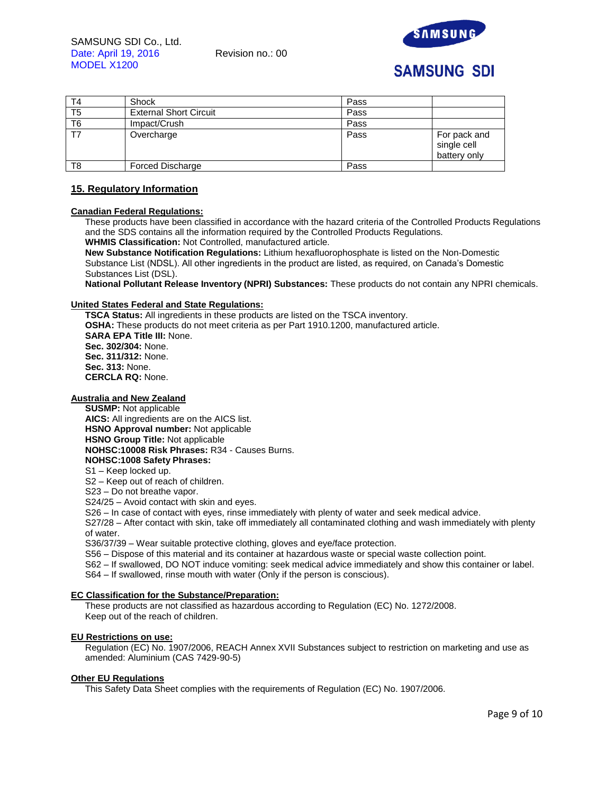

# **SAMSUNG SDI**

| T4 | Shock                         | Pass |                                             |
|----|-------------------------------|------|---------------------------------------------|
| T5 | <b>External Short Circuit</b> | Pass |                                             |
| T6 | Impact/Crush                  | Pass |                                             |
| T7 | Overcharge                    | Pass | For pack and<br>single cell<br>battery only |
| T8 | Forced Discharge              | Pass |                                             |

## **15. Regulatory Information**

## **Canadian Federal Regulations:**

These products have been classified in accordance with the hazard criteria of the Controlled Products Regulations and the SDS contains all the information required by the Controlled Products Regulations. **WHMIS Classification:** Not Controlled, manufactured article.

**New Substance Notification Regulations:** Lithium hexafluorophosphate is listed on the Non-Domestic Substance List (NDSL). All other ingredients in the product are listed, as required, on Canada's Domestic Substances List (DSL).

**National Pollutant Release Inventory (NPRI) Substances:** These products do not contain any NPRI chemicals.

#### **United States Federal and State Regulations:**

**TSCA Status:** All ingredients in these products are listed on the TSCA inventory. **OSHA:** These products do not meet criteria as per Part 1910.1200, manufactured article. **SARA EPA Title III:** None. **Sec. 302/304:** None. **Sec. 311/312:** None. **Sec. 313:** None. **CERCLA RQ:** None.

## **Australia and New Zealand**

**SUSMP:** Not applicable **AICS:** All ingredients are on the AICS list. **HSNO Approval number:** Not applicable **HSNO Group Title:** Not applicable **NOHSC:10008 Risk Phrases:** R34 - Causes Burns. **NOHSC:1008 Safety Phrases:**

## S1 – Keep locked up.

S2 – Keep out of reach of children.

S23 – Do not breathe vapor.

S24/25 – Avoid contact with skin and eyes.

S26 – In case of contact with eyes, rinse immediately with plenty of water and seek medical advice.

S27/28 – After contact with skin, take off immediately all contaminated clothing and wash immediately with plenty of water.

S36/37/39 – Wear suitable protective clothing, gloves and eye/face protection.

S56 – Dispose of this material and its container at hazardous waste or special waste collection point.

S62 – If swallowed, DO NOT induce vomiting: seek medical advice immediately and show this container or label.

S64 – If swallowed, rinse mouth with water (Only if the person is conscious).

#### **EC Classification for the Substance/Preparation:**

These products are not classified as hazardous according to Regulation (EC) No. 1272/2008. Keep out of the reach of children.

## **EU Restrictions on use:**

Regulation (EC) No. 1907/2006, REACH Annex XVII Substances subject to restriction on marketing and use as amended: Aluminium (CAS 7429-90-5)

#### **Other EU Regulations**

This Safety Data Sheet complies with the requirements of Regulation (EC) No. 1907/2006.